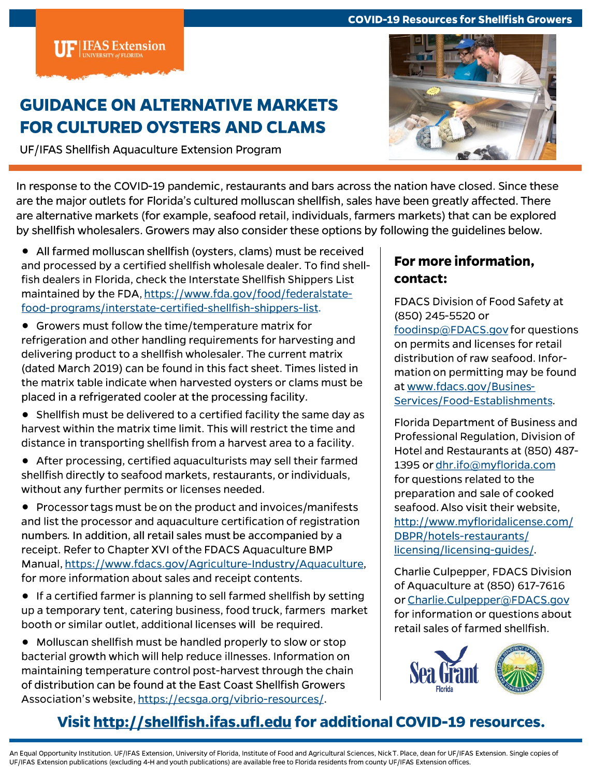#### **COVID-19 Resources for Shellfish Growers**

**IFAS Extension** 

### **GUIDANCE ON ALTERNATIVE MARKETS FOR CULTURED OYSTERS AND CLAMS**

UF/IFAS Shellfish Aquaculture Extension Program



In response to the COVID-19 pandemic, restaurants and bars across the nation have closed. Since these are the major outlets for Florida's cultured molluscan shellfish, sales have been greatly affected. There are alternative markets (for example, seafood retail, individuals, farmers markets) that can be explored by shellfish wholesalers. Growers may also consider these options by following the guidelines below.

- All farmed molluscan shellfish (oysters, clams) must be received and processed by a certified shellfish wholesale dealer. To find shellfish dealers in Florida, check the Interstate Shellfish Shippers List maintained by the FDA, https://www.fda.gov/food/federalstatefood-programs/interstate-certified-shellfish-shippers-list.
- Growers must follow the time/temperature matrix for refrigeration and other handling requirements for harvesting and delivering product to a shellfish wholesaler. The current matrix (dated March 2019) can be found in this fact sheet. Times listed in the matrix table indicate when harvested oysters or clams must be placed in a refrigerated cooler at the processing facility.
- Shellfish must be delivered to a certified facility the same day as harvest within the matrix time limit. This will restrict the time and distance in transporting shellfish from a harvest area to a facility.
- After processing, certified aquaculturists may sell their farmed shellfish directly to seafood markets, restaurants, or individuals, without any further permits or licenses needed.

• Processor tags must be on the product and invoices/manifests and list the processor and aquaculture certification of registration numbers. In addition, all retail sales must be accompanied by a receipt. Refer to Chapter XVI of the FDACS Aquaculture BMP Manual, https://www.fdacs.gov/Agriculture-Industry/Aquaculture, for more information about sales and receipt contents.

• If a certified farmer is planning to sell farmed shellfish by setting up a temporary tent, catering business, food truck, farmers market booth or similar outlet, additional licenses will be required.

• Molluscan shellfish must be handled properly to slow or stop bacterial growth which will help reduce illnesses. Information on maintaining temperature control post-harvest through the chain of distribution can be found at the East Coast Shellfish Growers Association's website, https://ecsga.org/vibrio-resources/.

### For more information. contact:

FDACS Division of Food Safety at (850) 245-5520 or foodinsp@FDACS.gov for questions on permits and licenses for retail distribution of raw seafood. Information on permitting may be found at www.fdacs.gov/Busines-Services/Food-Establishments.

Florida Department of Business and Professional Regulation, Division of Hotel and Restaurants at (850) 487-1395 or dhr.ifo@myflorida.com for questions related to the preparation and sale of cooked seafood. Also visit their website, http://www.myfloridalicense.com/ DBPR/hotels-restaurants/ licensing/licensing-quides/.

**Charlie Culpepper, FDACS Division** of Aquaculture at (850) 617-7616 or Charlie.Culpepper@FDACS.gov for information or questions about retail sales of farmed shellfish.



## Visit http://shellfish.ifas.ufl.edu for additional COVID-19 resources.

An Equal Opportunity Institution. UF/IFAS Extension, University of Florida, Institute of Food and Agricultural Sciences, Nick T. Place, dean for UF/IFAS Extension. Single copies of UF/IFAS Extension publications (excluding 4-H and youth publications) are available free to Florida residents from county UF/IFAS Extension offices.